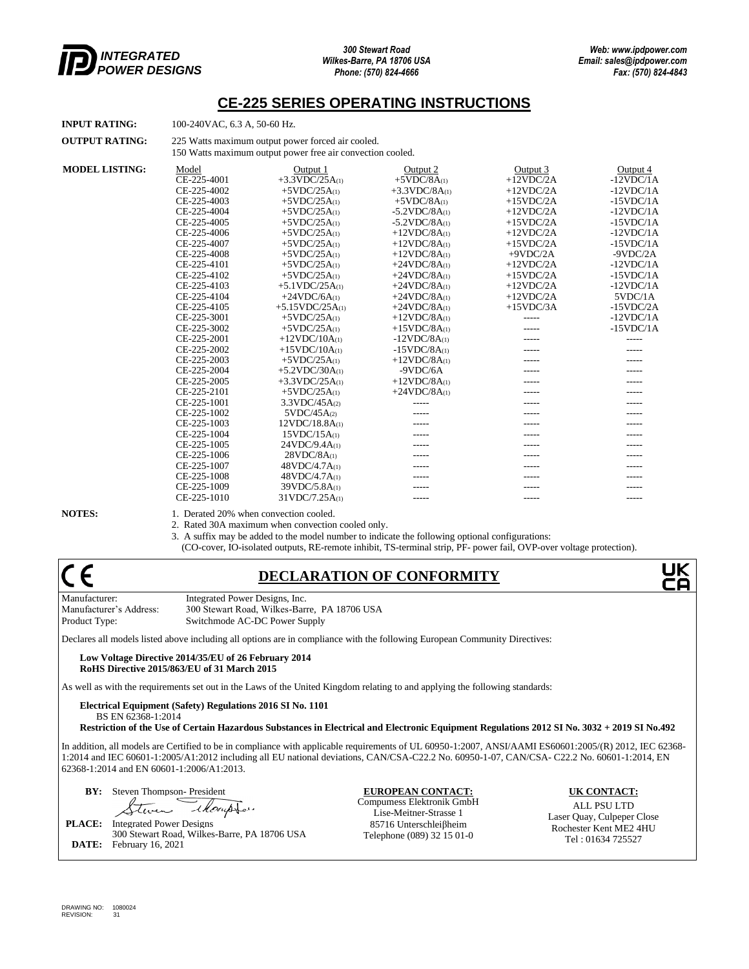

#### **CE-225 SERIES OPERATING INSTRUCTIONS**

| INPUT RATING: | 100-240VAC, 6.3 A, 50-60 Hz. |
|---------------|------------------------------|
|               |                              |

**OUTPUT RATING:** 225 Watts maximum output power forced air cooled. 150 Watts maximum output power free air convection cooled.

| <b>MODEL LISTING:</b> | Model       | Output 1                | Output 2               | Output 3     | Output 4     |
|-----------------------|-------------|-------------------------|------------------------|--------------|--------------|
|                       | CE-225-4001 | $+3.3$ VDC/25A(1)       | $+5VDC/8A(1)$          | $+12$ VDC/2A | $-12VDC/1A$  |
|                       | CE-225-4002 | $+5VDC/25A(1)$          | $+3.3$ VDC/8A $\alpha$ | $+12$ VDC/2A | $-12VDC/1A$  |
|                       | CE-225-4003 | $+5VDC/25A(1)$          | $+5VDC/8A(1)$          | $+15$ VDC/2A | $-15VDC/1A$  |
|                       | CE-225-4004 | $+5VDC/25A(1)$          | $-5.2$ VDC/8A $\alpha$ | $+12$ VDC/2A | $-12VDC/1A$  |
|                       | CE-225-4005 | $+5VDC/25A(1)$          | $-5.2$ VDC/8A $\alpha$ | $+15$ VDC/2A | $-15VDC/1A$  |
|                       | CE-225-4006 | $+5VDC/25A(1)$          | $+12VDC/8A(1)$         | $+12$ VDC/2A | $-12VDC/1A$  |
|                       | CE-225-4007 | $+5VDC/25A(1)$          | $+12VDC/8A(1)$         | $+15$ VDC/2A | $-15VDC/1A$  |
|                       | CE-225-4008 | $+5VDC/25A(1)$          | $+12VDC/8A(1)$         | $+9VDC/2A$   | $-9VDC/2A$   |
|                       | CE-225-4101 | $+5VDC/25A(1)$          | $+24VDC/8A(1)$         | $+12$ VDC/2A | $-12VDC/1A$  |
|                       | CE-225-4102 | $+5VDC/25A(1)$          | $+24VDC/8A(1)$         | $+15$ VDC/2A | $-15VDC/1A$  |
|                       | CE-225-4103 | $+5.1$ VDC/25A(1)       | $+24VDC/8A(1)$         | $+12$ VDC/2A | $-12VDC/1A$  |
|                       | CE-225-4104 | $+24VDC/6A(1)$          | $+24VDC/8A(1)$         | $+12$ VDC/2A | 5VDC/1A      |
|                       | CE-225-4105 | $+5.15$ VDC/25A(1)      | $+24VDC/8A(1)$         | $+15$ VDC/3A | $-15$ VDC/2A |
|                       | CE-225-3001 | $+5VDC/25A(1)$          | $+12VDC/8A(1)$         | -----        | $-12VDC/1A$  |
|                       | CE-225-3002 | $+5VDC/25A(1)$          | $+15VDC/8A(1)$         | -----        | $-15VDC/1A$  |
|                       | CE-225-2001 | $+12VDC/10A(1)$         | $-12VDC/8A(1)$         | -----        | -----        |
|                       | CE-225-2002 | $+15VDC/10A(1)$         | $-15VDC/8A(1)$         | -----        |              |
|                       | CE-225-2003 | $+5VDC/25A(1)$          | $+12VDC/8A(1)$         | -----        |              |
|                       | CE-225-2004 | $+5.2$ VDC/30A $\alpha$ | $-9VDC/6A$             | -----        |              |
|                       | CE-225-2005 | $+3.3$ VDC/25A(1)       | $+12VDC/8A(1)$         |              |              |
|                       | CE-225-2101 | $+5VDC/25A(1)$          | $+24VDC/8A(1)$         |              |              |
|                       | CE-225-1001 | 3.3VDC/45A(2)           |                        | -----        |              |
|                       | CE-225-1002 | 5VDC/45A(2)             |                        | -----        |              |
|                       | CE-225-1003 | 12VDC/18.8A(1)          |                        | -----        |              |
|                       | CE-225-1004 | 15VDC/15A(1)            |                        |              |              |
|                       | CE-225-1005 | 24VDC/9.4A(1)           |                        | -----        | -----        |
|                       | CE-225-1006 | 28VDC/8A(1)             | -----                  | -----        | -----        |
|                       | CE-225-1007 | 48VDC/4.7A(1)           | -----                  | -----        |              |
|                       | CE-225-1008 | 48VDC/4.7A(1)           | -----                  | -----        |              |
|                       | CE-225-1009 | 39VDC/5.8A(1)           |                        |              |              |
|                       | CE-225-1010 | 31VDC/7.25A(1)          | $- - - - -$            | -----        | -----        |
|                       |             |                         |                        |              |              |

**NOTES:** 1. Derated 20% when convection cooled.

2. Rated 30A maximum when convection cooled only.

3. A suffix may be added to the model number to indicate the following optional configurations:

(CO-cover, IO-isolated outputs, RE-remote inhibit, TS-terminal strip, PF- power fail, OVP-over voltage protection).

# (  $\epsilon$

## **DECLARATION OF CONFORMITY**

Manufacturer: Integrated Power Designs, Inc. Manufacturer's Address: 300 Stewart Road, Wilkes-Barre, PA 18706 USA Product Type: Switchmode AC-DC Power Supply

Declares all models listed above including all options are in compliance with the following European Community Directives:

**Low Voltage Directive 2014/35/EU of 26 February 2014 RoHS Directive 2015/863/EU of 31 March 2015**

As well as with the requirements set out in the Laws of the United Kingdom relating to and applying the following standards:

**Electrical Equipment (Safety) Regulations 2016 SI No. 1101**  BS EN 62368-1:2014

**Restriction of the Use of Certain Hazardous Substances in Electrical and Electronic Equipment Regulations 2012 SI No. 3032 + 2019 SI No.492**

In addition, all models are Certified to be in compliance with applicable requirements of UL 60950-1:2007, ANSI/AAMI ES60601:2005/(R) 2012, IEC 62368- 1:2014 and IEC 60601-1:2005/A1:2012 including all EU national deviations, CAN/CSA-C22.2 No. 60950-1-07, CAN/CSA- C22.2 No. 60601-1:2014, EN 62368-1:2014 and EN 60601-1:2006/A1:2013.

**BY:** Steven Thompson- President **EUROPEAN CONTACT: UK CONTACT:**

*Alempton* tur لد

**PLACE:** Integrated Power Designs 300 Stewart Road, Wilkes-Barre, PA 18706 USA **DATE:** February 16, 2021

Compumess Elektronik GmbH Lise-Meitner-Strasse 1 85716 Unterschleiβheim Telephone (089) 32 15 01-0

ALL PSU LTD Laser Quay, Culpeper Close Rochester Kent ME2 4HU Tel : 01634 725527